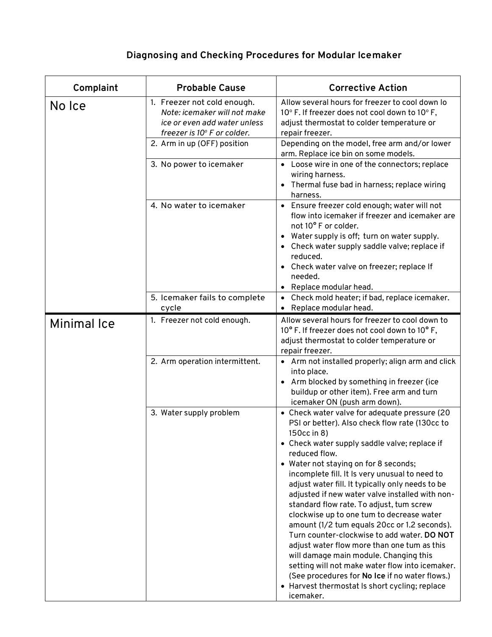## **Diagnosing and Checking Procedures for Modular lcemaker**

| Complaint          | <b>Probable Cause</b>                                                                                                      | <b>Corrective Action</b>                                                                                                                                                                                                                                                                                                                                                                                                                                                                                                                                                                                                                                                                                                                                                                                                                |
|--------------------|----------------------------------------------------------------------------------------------------------------------------|-----------------------------------------------------------------------------------------------------------------------------------------------------------------------------------------------------------------------------------------------------------------------------------------------------------------------------------------------------------------------------------------------------------------------------------------------------------------------------------------------------------------------------------------------------------------------------------------------------------------------------------------------------------------------------------------------------------------------------------------------------------------------------------------------------------------------------------------|
| No Ice             | 1. Freezer not cold enough.<br>Note: icemaker will not make<br>ice or even add water unless<br>freezer is 10° F or colder. | Allow several hours for freezer to cool down lo<br>10° F. If freezer does not cool down to 10° F,<br>adjust thermostat to colder temperature or<br>repair freezer.                                                                                                                                                                                                                                                                                                                                                                                                                                                                                                                                                                                                                                                                      |
|                    | 2. Arm in up (OFF) position                                                                                                | Depending on the model, free arm and/or lower<br>arm. Replace ice bin on some models.                                                                                                                                                                                                                                                                                                                                                                                                                                                                                                                                                                                                                                                                                                                                                   |
|                    | 3. No power to icemaker                                                                                                    | • Loose wire in one of the connectors; replace<br>wiring harness.<br>• Thermal fuse bad in harness; replace wiring<br>harness.                                                                                                                                                                                                                                                                                                                                                                                                                                                                                                                                                                                                                                                                                                          |
|                    | 4. No water to icemaker                                                                                                    | • Ensure freezer cold enough; water will not<br>flow into icemaker if freezer and icemaker are<br>not 10° F or colder.<br>• Water supply is off; turn on water supply.<br>Check water supply saddle valve; replace if<br>reduced.<br>• Check water valve on freezer; replace If<br>needed.<br>• Replace modular head.                                                                                                                                                                                                                                                                                                                                                                                                                                                                                                                   |
|                    | 5. Icemaker fails to complete<br>cycle                                                                                     | Check mold heater; if bad, replace icemaker.<br>Replace modular head.                                                                                                                                                                                                                                                                                                                                                                                                                                                                                                                                                                                                                                                                                                                                                                   |
| <b>Minimal Ice</b> | 1. Freezer not cold enough.                                                                                                | Allow several hours for freezer to cool down to<br>10° F. If freezer does not cool down to 10° F,<br>adjust thermostat to colder temperature or<br>repair freezer.                                                                                                                                                                                                                                                                                                                                                                                                                                                                                                                                                                                                                                                                      |
|                    | 2. Arm operation intermittent.                                                                                             | • Arm not installed properly; align arm and click<br>into place.<br>• Arm blocked by something in freezer (ice<br>buildup or other item). Free arm and turn<br>icemaker ON (push arm down).                                                                                                                                                                                                                                                                                                                                                                                                                                                                                                                                                                                                                                             |
|                    | 3. Water supply problem                                                                                                    | • Check water valve for adequate pressure (20<br>PSI or better). Also check flow rate (130cc to<br>150cc in 8)<br>• Check water supply saddle valve; replace if<br>reduced flow.<br>• Water not staying on for 8 seconds;<br>incomplete fill. It Is very unusual to need to<br>adjust water fill. It typically only needs to be<br>adjusted if new water valve installed with non-<br>standard flow rate. To adjust, tum screw<br>clockwise up to one tum to decrease water<br>amount (1/2 tum equals 20cc or 1.2 seconds).<br>Turn counter-clockwise to add water. DO NOT<br>adjust water flow more than one tum as this<br>will damage main module. Changing this<br>setting will not make water flow into icemaker.<br>(See procedures for No Ice if no water flows.)<br>• Harvest thermostat Is short cycling; replace<br>icemaker. |